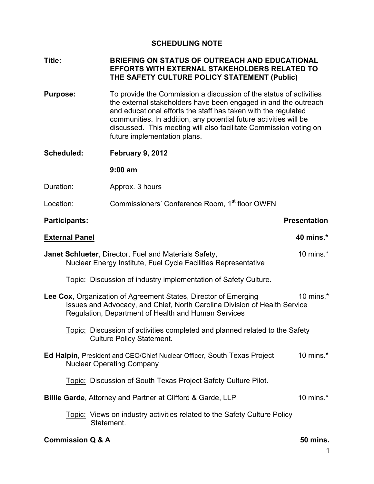# **SCHEDULING NOTE**

## **Title: BRIEFING ON STATUS OF OUTREACH AND EDUCATIONAL EFFORTS WITH EXTERNAL STAKEHOLDERS RELATED TO THE SAFETY CULTURE POLICY STATEMENT (Public)**

**Purpose:** To provide the Commission a discussion of the status of activities the external stakeholders have been engaged in and the outreach and educational efforts the staff has taken with the regulated communities. In addition, any potential future activities will be discussed. This meeting will also facilitate Commission voting on future implementation plans.

**Scheduled: February 9, 2012** 

 **9:00 am**

Duration: Approx. 3 hours

Location: Commissioners' Conference Room, 1<sup>st</sup> floor OWFN

## **Participants:** Participants: Presentation **Presentation**

| <b>External Panel</b>                                                                                                                                                                               | 40 mins.*    |
|-----------------------------------------------------------------------------------------------------------------------------------------------------------------------------------------------------|--------------|
| <b>Janet Schlueter, Director, Fuel and Materials Safety,</b><br>Nuclear Energy Institute, Fuel Cycle Facilities Representative                                                                      | 10 mins. $*$ |
| Topic: Discussion of industry implementation of Safety Culture.                                                                                                                                     |              |
| Lee Cox, Organization of Agreement States, Director of Emerging<br>Issues and Advocacy, and Chief, North Carolina Division of Health Service<br>Regulation, Department of Health and Human Services | 10 mins. $*$ |
| <u>Topic:</u> Discussion of activities completed and planned related to the Safety<br><b>Culture Policy Statement.</b>                                                                              |              |
| <b>Ed Halpin, President and CEO/Chief Nuclear Officer, South Texas Project</b><br><b>Nuclear Operating Company</b>                                                                                  | 10 mins. $*$ |
| <u>Topic:</u> Discussion of South Texas Project Safety Culture Pilot.                                                                                                                               |              |
| <b>Billie Garde, Attorney and Partner at Clifford &amp; Garde, LLP</b>                                                                                                                              | 10 mins. $*$ |
| Topic: Views on industry activities related to the Safety Culture Policy<br>Statement.                                                                                                              |              |

#### **Commission Q & A** 50 mins.